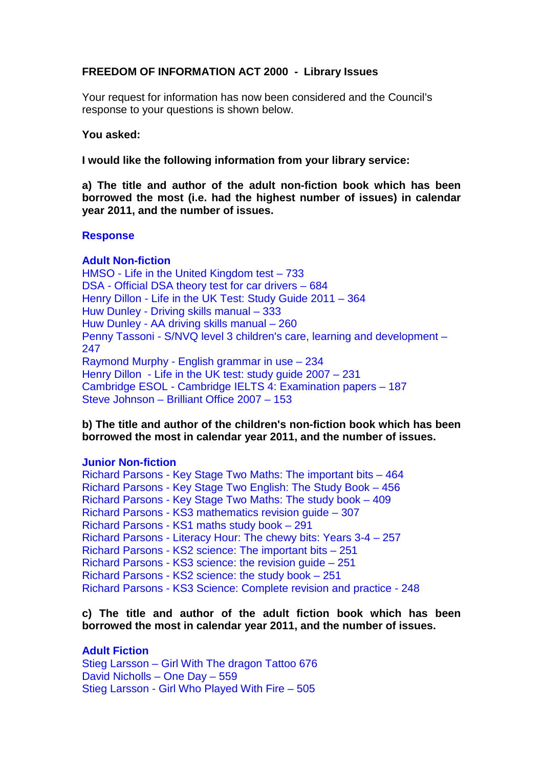# **FREEDOM OF INFORMATION ACT 2000 - Library Issues**

Your request for information has now been considered and the Council's response to your questions is shown below.

#### **You asked:**

**I would like the following information from your library service:**

**a) The title and author of the adult non-fiction book which has been borrowed the most (i.e. had the highest number of issues) in calendar year 2011, and the number of issues.**

#### **Response**

### **Adult Non-fiction**

HMSO - Life in the United Kingdom test – 733 DSA - Official DSA theory test for car drivers – 684 Henry Dillon - Life in the UK Test: Study Guide 2011 – 364 Huw Dunley - Driving skills manual – 333 Huw Dunley - AA driving skills manual – 260 Penny Tassoni - S/NVQ level 3 children's care, learning and development – 247 Raymond Murphy - English grammar in use – 234 Henry Dillon - Life in the UK test: study guide 2007 – 231 Cambridge ESOL - Cambridge IELTS 4: Examination papers – 187 Steve Johnson – Brilliant Office 2007 – 153

## **b) The title and author of the children's non-fiction book which has been borrowed the most in calendar year 2011, and the number of issues.**

## **Junior Non-fiction**

Richard Parsons - Key Stage Two Maths: The important bits – 464 Richard Parsons - Key Stage Two English: The Study Book – 456 Richard Parsons - Key Stage Two Maths: The study book – 409 Richard Parsons - KS3 mathematics revision guide – 307 Richard Parsons - KS1 maths study book – 291 Richard Parsons - Literacy Hour: The chewy bits: Years 3-4 – 257 Richard Parsons - KS2 science: The important bits – 251 Richard Parsons - KS3 science: the revision guide – 251 Richard Parsons - KS2 science: the study book – 251 Richard Parsons - KS3 Science: Complete revision and practice - 248

### **c) The title and author of the adult fiction book which has been borrowed the most in calendar year 2011, and the number of issues.**

## **Adult Fiction**

Stieg Larsson – Girl With The dragon Tattoo 676 David Nicholls – One Day – 559 Stieg Larsson - Girl Who Played With Fire – 505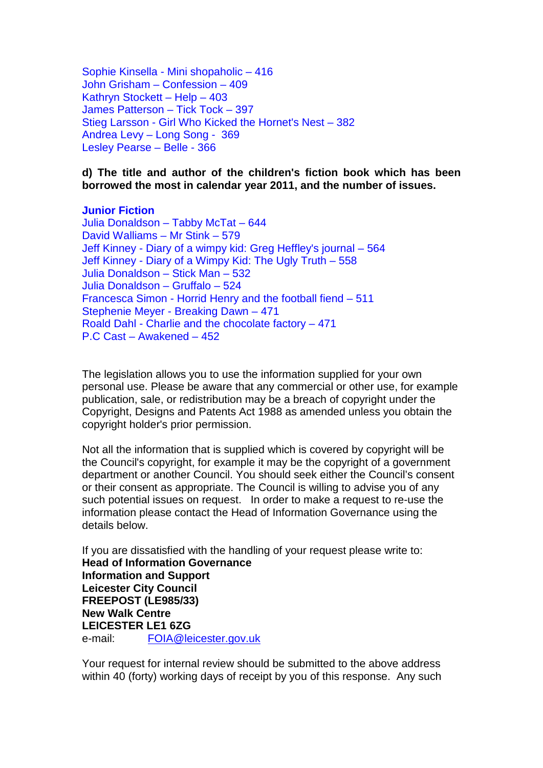Sophie Kinsella - Mini shopaholic – 416 John Grisham – Confession – 409 Kathryn Stockett – Help – 403 James Patterson – Tick Tock – 397 Stieg Larsson - Girl Who Kicked the Hornet's Nest – 382 Andrea Levy – Long Song - 369 Lesley Pearse – Belle - 366

**d) The title and author of the children's fiction book which has been borrowed the most in calendar year 2011, and the number of issues.**

#### **Junior Fiction**

Julia Donaldson – Tabby McTat – 644 David Walliams – Mr Stink – 579 Jeff Kinney - Diary of a wimpy kid: Greg Heffley's journal – 564 Jeff Kinney - Diary of a Wimpy Kid: The Ugly Truth – 558 Julia Donaldson – Stick Man – 532 Julia Donaldson – Gruffalo – 524 Francesca Simon - Horrid Henry and the football fiend – 511 Stephenie Meyer - Breaking Dawn – 471 Roald Dahl - Charlie and the chocolate factory – 471 P.C Cast – Awakened – 452

The legislation allows you to use the information supplied for your own personal use. Please be aware that any commercial or other use, for example publication, sale, or redistribution may be a breach of copyright under the Copyright, Designs and Patents Act 1988 as amended unless you obtain the copyright holder's prior permission.

Not all the information that is supplied which is covered by copyright will be the Council's copyright, for example it may be the copyright of a government department or another Council. You should seek either the Council's consent or their consent as appropriate. The Council is willing to advise you of any such potential issues on request. In order to make a request to re-use the information please contact the Head of Information Governance using the details below.

If you are dissatisfied with the handling of your request please write to: **Head of Information Governance Information and Support Leicester City Council FREEPOST (LE985/33) New Walk Centre LEICESTER LE1 6ZG**  e-mail: FOIA@leicester.gov.uk

Your request for internal review should be submitted to the above address within 40 (forty) working days of receipt by you of this response. Any such